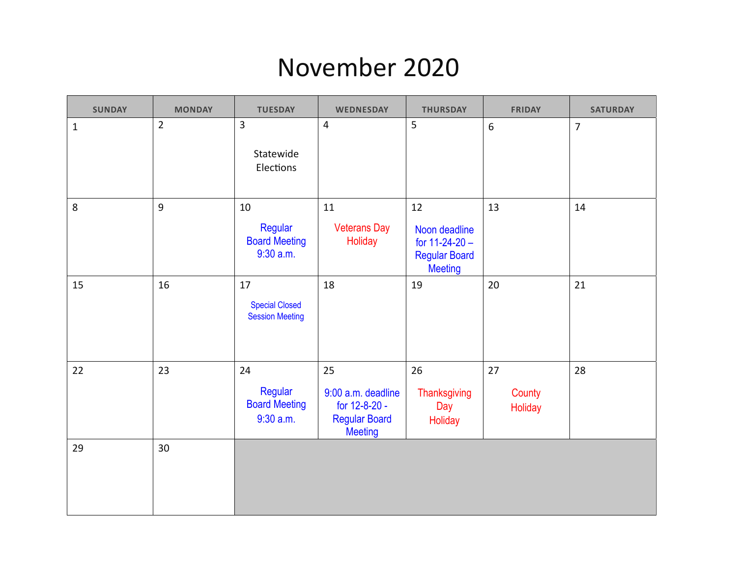#### November 2020

| <b>SUNDAY</b> | <b>MONDAY</b>  | <b>TUESDAY</b>                                        | <b>WEDNESDAY</b>                                                                    | <b>THURSDAY</b>                                                                   | <b>FRIDAY</b>           | <b>SATURDAY</b> |
|---------------|----------------|-------------------------------------------------------|-------------------------------------------------------------------------------------|-----------------------------------------------------------------------------------|-------------------------|-----------------|
| $\mathbf{1}$  | $\overline{2}$ | $\overline{3}$<br>Statewide<br>Elections              | $\overline{4}$                                                                      | 5                                                                                 | $6\overline{6}$         | $\overline{7}$  |
| 8             | 9              | 10<br>Regular<br><b>Board Meeting</b><br>$9:30$ a.m.  | 11<br><b>Veterans Day</b><br>Holiday                                                | 12<br>Noon deadline<br>for $11-24-20$ -<br><b>Regular Board</b><br><b>Meeting</b> | 13                      | 14              |
| 15            | 16             | 17<br><b>Special Closed</b><br><b>Session Meeting</b> | 18                                                                                  | 19                                                                                | 20                      | 21              |
| 22            | 23             | 24<br>Regular<br><b>Board Meeting</b><br>$9:30$ a.m.  | 25<br>9:00 a.m. deadline<br>for 12-8-20 -<br><b>Regular Board</b><br><b>Meeting</b> | 26<br>Thanksgiving<br>Day<br>Holiday                                              | 27<br>County<br>Holiday | 28              |
| 29            | 30             |                                                       |                                                                                     |                                                                                   |                         |                 |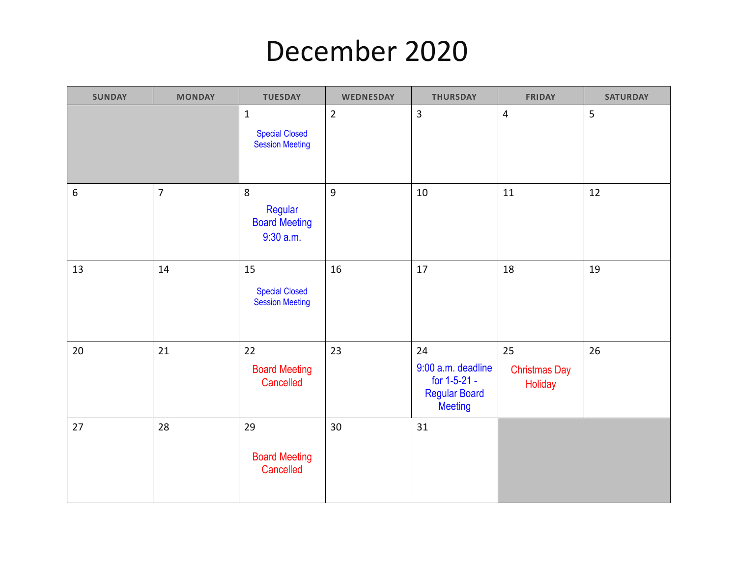# December 2020

| <b>SUNDAY</b>    | <b>MONDAY</b>  | <b>TUESDAY</b>                                                 | <b>WEDNESDAY</b> | <b>THURSDAY</b>                                                                    | <b>FRIDAY</b>                         | <b>SATURDAY</b> |
|------------------|----------------|----------------------------------------------------------------|------------------|------------------------------------------------------------------------------------|---------------------------------------|-----------------|
|                  |                | $\mathbf 1$<br><b>Special Closed</b><br><b>Session Meeting</b> | $\overline{2}$   | $\overline{3}$                                                                     | $\overline{\mathbf{4}}$               | 5               |
| $\boldsymbol{6}$ | $\overline{7}$ | 8<br>Regular<br><b>Board Meeting</b><br>$9:30$ a.m.            | 9                | 10                                                                                 | $11\,$                                | 12              |
| 13               | 14             | 15<br><b>Special Closed</b><br><b>Session Meeting</b>          | 16               | 17                                                                                 | 18                                    | 19              |
| 20               | 21             | 22<br><b>Board Meeting</b><br>Cancelled                        | 23               | 24<br>9:00 a.m. deadline<br>for 1-5-21 -<br><b>Regular Board</b><br><b>Meeting</b> | 25<br><b>Christmas Day</b><br>Holiday | 26              |
| 27               | 28             | 29<br><b>Board Meeting</b><br>Cancelled                        | 30               | 31                                                                                 |                                       |                 |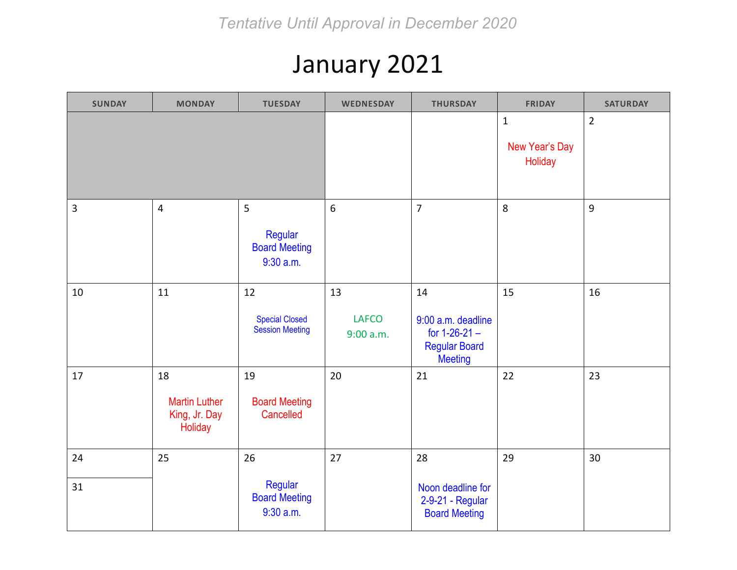## January 2021

| <b>SUNDAY</b>  | <b>MONDAY</b>                                          | <b>TUESDAY</b>                                        | WEDNESDAY                       | <b>THURSDAY</b>                                                                       | <b>FRIDAY</b>                            | <b>SATURDAY</b> |
|----------------|--------------------------------------------------------|-------------------------------------------------------|---------------------------------|---------------------------------------------------------------------------------------|------------------------------------------|-----------------|
|                |                                                        |                                                       |                                 |                                                                                       | $\mathbf 1$<br>New Year's Day<br>Holiday | $\overline{2}$  |
| $\overline{3}$ | $\overline{4}$                                         | 5<br>Regular<br><b>Board Meeting</b><br>$9:30$ a.m.   | 6                               | $\overline{7}$                                                                        | 8                                        | $\overline{9}$  |
| 10             | 11                                                     | 12<br><b>Special Closed</b><br><b>Session Meeting</b> | 13<br><b>LAFCO</b><br>9:00 a.m. | 14<br>9:00 a.m. deadline<br>for $1-26-21$ -<br><b>Regular Board</b><br><b>Meeting</b> | 15                                       | 16              |
| 17             | 18<br><b>Martin Luther</b><br>King, Jr. Day<br>Holiday | 19<br><b>Board Meeting</b><br>Cancelled               | 20                              | 21                                                                                    | 22                                       | 23              |
| 24<br>31       | 25                                                     | 26<br>Regular                                         | 27                              | 28<br>Noon deadline for                                                               | 29                                       | 30              |
|                |                                                        | <b>Board Meeting</b><br>$9:30$ a.m.                   |                                 | 2-9-21 - Regular<br><b>Board Meeting</b>                                              |                                          |                 |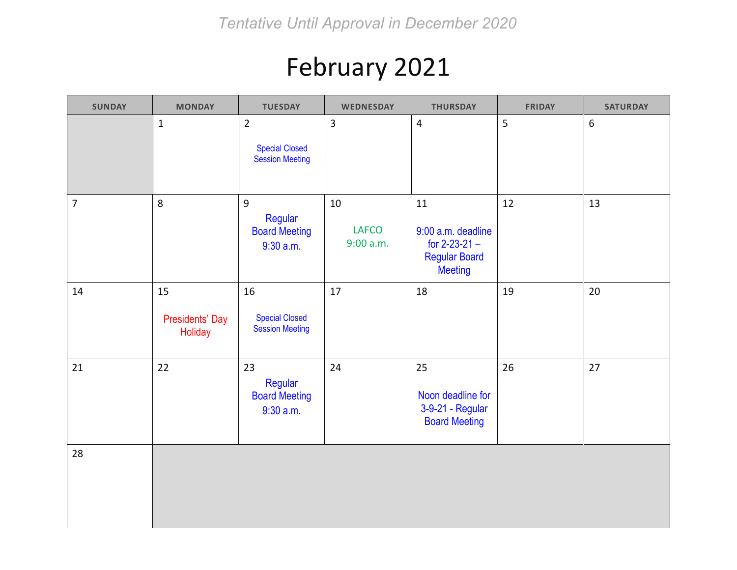## February 2021

| <b>SUNDAY</b>  | <b>MONDAY</b>                                  | <b>TUESDAY</b>                                                    | WEDNESDAY                       | <b>THURSDAY</b>                                                                           | <b>FRIDAY</b> | <b>SATURDAY</b> |
|----------------|------------------------------------------------|-------------------------------------------------------------------|---------------------------------|-------------------------------------------------------------------------------------------|---------------|-----------------|
|                | $\mathbf{1}$                                   | $\overline{2}$<br><b>Special Closed</b><br><b>Session Meeting</b> | $\overline{3}$                  | $\overline{4}$                                                                            | 5             | $6\,$           |
| $\overline{7}$ | 8                                              | $\overline{9}$<br>Regular<br><b>Board Meeting</b><br>$9:30$ a.m.  | 10<br><b>LAFCO</b><br>9:00 a.m. | 11<br>9:00 a.m. deadline<br>for $2 - 23 - 21 -$<br><b>Regular Board</b><br><b>Meeting</b> | 12            | 13              |
| 14             | 15<br><b>Presidents' Day</b><br><b>Holiday</b> | 16<br><b>Special Closed</b><br><b>Session Meeting</b>             | 17                              | 18                                                                                        | 19            | 20              |
| 21             | 22                                             | 23<br>Regular<br><b>Board Meeting</b><br>$9:30$ a.m.              | 24                              | 25<br>Noon deadline for<br>3-9-21 - Regular<br><b>Board Meeting</b>                       | 26            | 27              |
| 28             |                                                |                                                                   |                                 |                                                                                           |               |                 |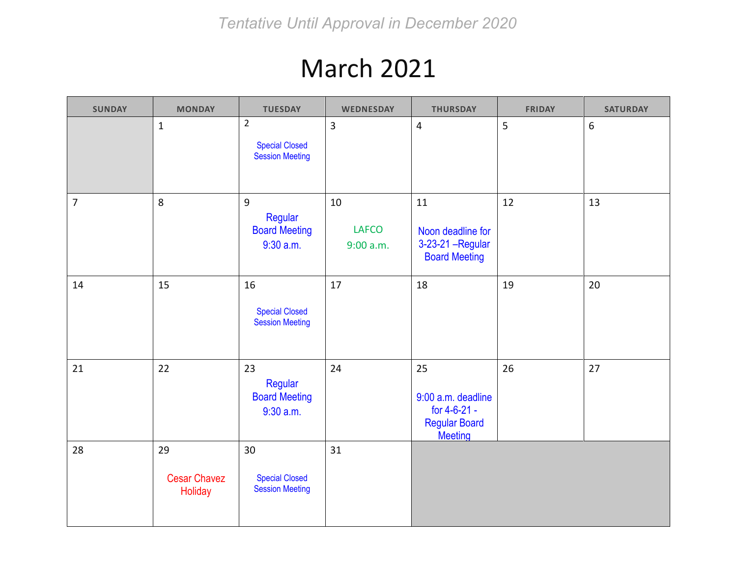### March 2021

| <b>SUNDAY</b> | <b>MONDAY</b>                        | <b>TUESDAY</b>                                                    | WEDNESDAY                       | <b>THURSDAY</b>                                                                    | <b>FRIDAY</b> | <b>SATURDAY</b>  |
|---------------|--------------------------------------|-------------------------------------------------------------------|---------------------------------|------------------------------------------------------------------------------------|---------------|------------------|
|               | $\mathbf{1}$                         | $\overline{2}$<br><b>Special Closed</b><br><b>Session Meeting</b> | $\overline{3}$                  | $\overline{4}$                                                                     | 5             | $\boldsymbol{6}$ |
| 7             | 8                                    | 9<br>Regular<br><b>Board Meeting</b><br>$9:30$ a.m.               | 10<br><b>LAFCO</b><br>9:00 a.m. | 11<br>Noon deadline for<br>3-23-21 - Regular<br><b>Board Meeting</b>               | 12            | 13               |
| 14            | 15                                   | 16<br><b>Special Closed</b><br><b>Session Meeting</b>             | 17                              | 18                                                                                 | 19            | 20               |
| 21            | 22                                   | 23<br>Regular<br><b>Board Meeting</b><br>$9:30$ a.m.              | 24                              | 25<br>9:00 a.m. deadline<br>for 4-6-21 -<br><b>Regular Board</b><br><b>Meeting</b> | 26            | 27               |
| 28            | 29<br><b>Cesar Chavez</b><br>Holiday | 30<br><b>Special Closed</b><br><b>Session Meeting</b>             | 31                              |                                                                                    |               |                  |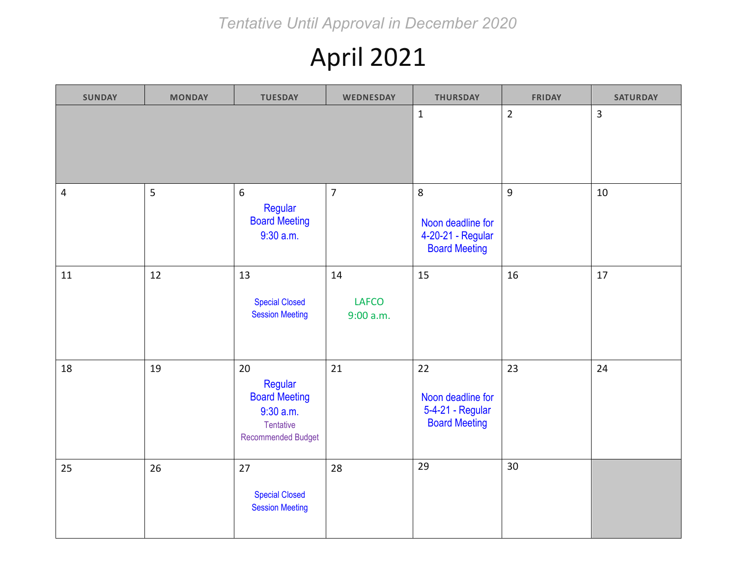*Tentative Until Approval in December 2020*

## April 2021

| <b>SUNDAY</b>  | <b>MONDAY</b> | <b>TUESDAY</b>                                                                               | <b>WEDNESDAY</b>                | <b>THURSDAY</b>                                                     | <b>FRIDAY</b>  | <b>SATURDAY</b> |
|----------------|---------------|----------------------------------------------------------------------------------------------|---------------------------------|---------------------------------------------------------------------|----------------|-----------------|
|                |               |                                                                                              |                                 | $\mathbf{1}$                                                        | $\overline{2}$ | $\overline{3}$  |
| $\overline{4}$ | 5             | 6<br>Regular<br><b>Board Meeting</b><br>$9:30$ a.m.                                          | $\overline{7}$                  | 8<br>Noon deadline for<br>4-20-21 - Regular<br><b>Board Meeting</b> | $9\,$          | 10              |
| 11             | 12            | 13<br><b>Special Closed</b><br><b>Session Meeting</b>                                        | 14<br><b>LAFCO</b><br>9:00 a.m. | 15                                                                  | 16             | 17              |
| 18             | 19            | 20<br>Regular<br><b>Board Meeting</b><br>9:30 a.m.<br><b>Tentative</b><br>Recommended Budget | 21                              | 22<br>Noon deadline for<br>5-4-21 - Regular<br><b>Board Meeting</b> | 23             | 24              |
| 25             | 26            | 27<br><b>Special Closed</b><br><b>Session Meeting</b>                                        | 28                              | 29                                                                  | 30             |                 |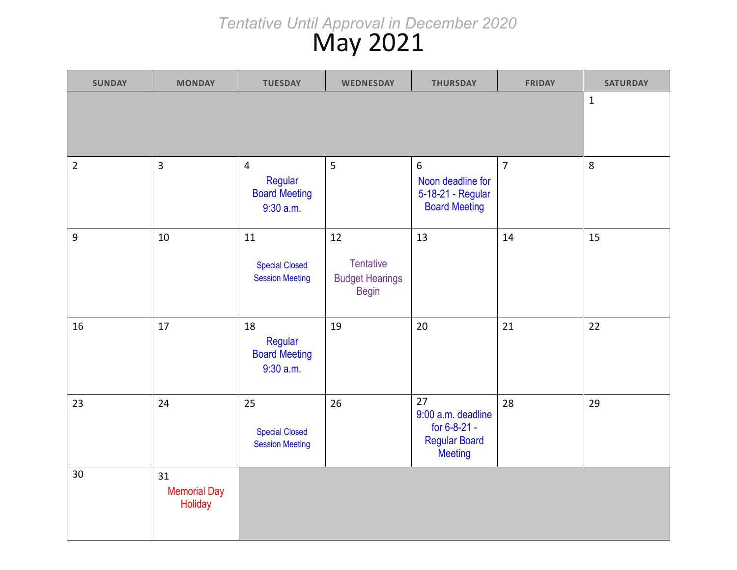#### May 2021 *Tentative Until Approval in December 2020*

| <b>SUNDAY</b>  | <b>MONDAY</b>                        | <b>TUESDAY</b>                                                   | <b>WEDNESDAY</b>                                                 | <b>THURSDAY</b>                                                                    | <b>FRIDAY</b>  | <b>SATURDAY</b> |
|----------------|--------------------------------------|------------------------------------------------------------------|------------------------------------------------------------------|------------------------------------------------------------------------------------|----------------|-----------------|
|                |                                      |                                                                  |                                                                  |                                                                                    |                | $\mathbf 1$     |
| $\overline{2}$ | $\overline{3}$                       | $\overline{4}$<br>Regular<br><b>Board Meeting</b><br>$9:30$ a.m. | 5                                                                | $6\overline{6}$<br>Noon deadline for<br>5-18-21 - Regular<br><b>Board Meeting</b>  | $\overline{7}$ | 8               |
| $\mathsf 9$    | 10                                   | 11<br><b>Special Closed</b><br><b>Session Meeting</b>            | 12<br><b>Tentative</b><br><b>Budget Hearings</b><br><b>Begin</b> | 13                                                                                 | 14             | 15              |
| 16             | 17                                   | 18<br>Regular<br><b>Board Meeting</b><br>$9:30$ a.m.             | 19                                                               | 20                                                                                 | 21             | 22              |
| 23             | 24                                   | 25<br><b>Special Closed</b><br><b>Session Meeting</b>            | 26                                                               | 27<br>9:00 a.m. deadline<br>for 6-8-21 -<br><b>Regular Board</b><br><b>Meeting</b> | 28             | 29              |
| 30             | 31<br><b>Memorial Day</b><br>Holiday |                                                                  |                                                                  |                                                                                    |                |                 |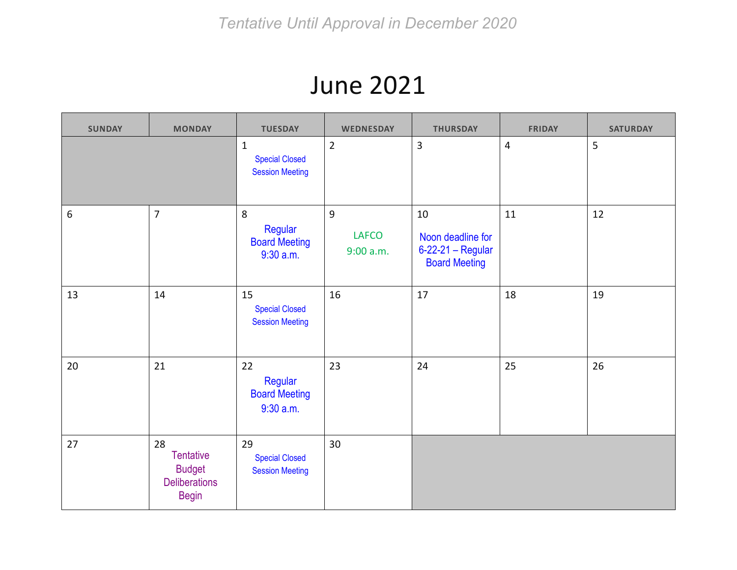### June 2021

| <b>SUNDAY</b> | <b>MONDAY</b>                                                                   | <b>TUESDAY</b>                                                   | <b>WEDNESDAY</b>               | <b>THURSDAY</b>                                                      | <b>FRIDAY</b>  | <b>SATURDAY</b> |
|---------------|---------------------------------------------------------------------------------|------------------------------------------------------------------|--------------------------------|----------------------------------------------------------------------|----------------|-----------------|
|               |                                                                                 | $\mathbf{1}$<br><b>Special Closed</b><br><b>Session Meeting</b>  | $\overline{2}$                 | 3                                                                    | $\overline{4}$ | 5               |
| 6             | $\overline{7}$                                                                  | $8\phantom{1}$<br>Regular<br><b>Board Meeting</b><br>$9:30$ a.m. | 9<br><b>LAFCO</b><br>9:00 a.m. | 10<br>Noon deadline for<br>6-22-21 - Regular<br><b>Board Meeting</b> | 11             | 12              |
| 13            | 14                                                                              | 15<br><b>Special Closed</b><br><b>Session Meeting</b>            | 16                             | 17                                                                   | 18             | 19              |
| 20            | 21                                                                              | 22<br>Regular<br><b>Board Meeting</b><br>$9:30$ a.m.             | 23                             | 24                                                                   | 25             | 26              |
| 27            | 28<br><b>Tentative</b><br><b>Budget</b><br><b>Deliberations</b><br><b>Begin</b> | 29<br><b>Special Closed</b><br><b>Session Meeting</b>            | 30                             |                                                                      |                |                 |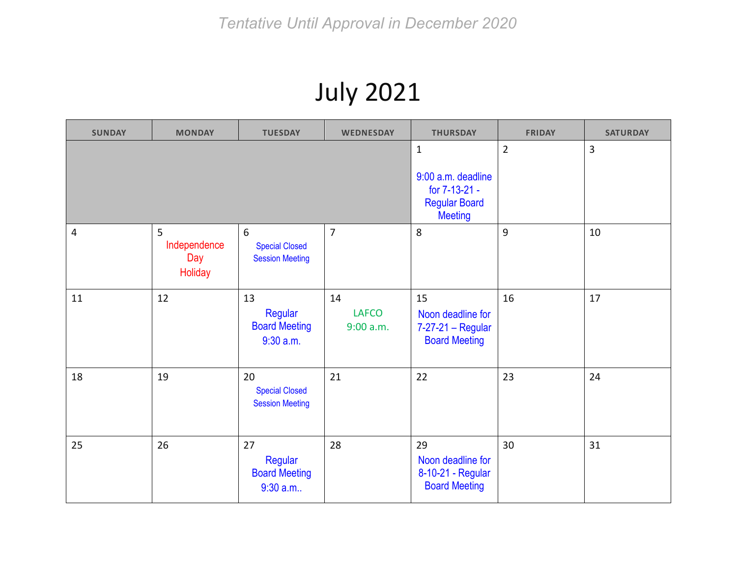## July 2021

| <b>SUNDAY</b>  | <b>MONDAY</b>                       | <b>TUESDAY</b>                                        | <b>WEDNESDAY</b>                                                                              | <b>THURSDAY</b>                                                      | <b>FRIDAY</b> | <b>SATURDAY</b> |
|----------------|-------------------------------------|-------------------------------------------------------|-----------------------------------------------------------------------------------------------|----------------------------------------------------------------------|---------------|-----------------|
|                |                                     |                                                       | $\mathbf{1}$<br>9:00 a.m. deadline<br>for 7-13-21 -<br><b>Regular Board</b><br><b>Meeting</b> | $\overline{2}$                                                       | 3             |                 |
| $\overline{4}$ | 5<br>Independence<br>Day<br>Holiday | 6<br><b>Special Closed</b><br><b>Session Meeting</b>  | $\overline{7}$                                                                                | 8                                                                    | 9             | 10              |
| 11             | 12                                  | 13<br>Regular<br><b>Board Meeting</b><br>$9:30$ a.m.  | 14<br><b>LAFCO</b><br>9:00 a.m.                                                               | 15<br>Noon deadline for<br>7-27-21 - Regular<br><b>Board Meeting</b> | 16            | 17              |
| 18             | 19                                  | 20<br><b>Special Closed</b><br><b>Session Meeting</b> | 21                                                                                            | 22                                                                   | 23            | 24              |
| 25             | 26                                  | 27<br>Regular<br><b>Board Meeting</b><br>$9:30$ a.m   | 28                                                                                            | 29<br>Noon deadline for<br>8-10-21 - Regular<br><b>Board Meeting</b> | 30            | 31              |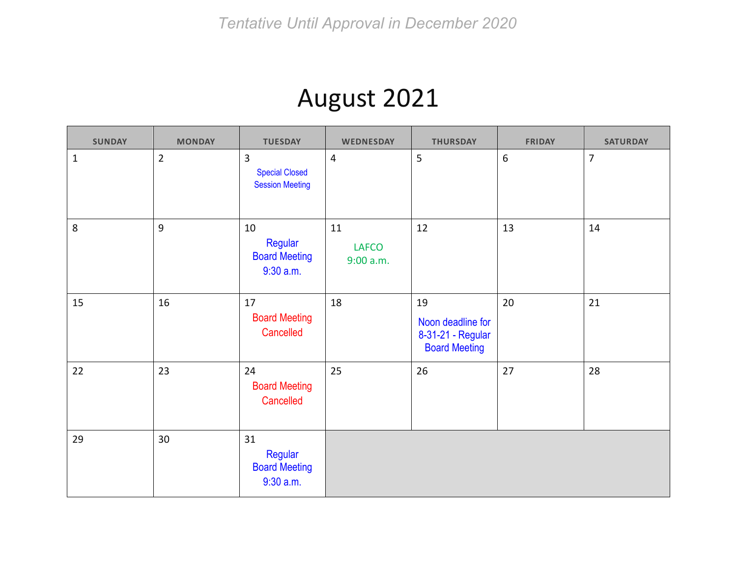#### August 2021

| <b>SUNDAY</b> | <b>MONDAY</b>  | <b>TUESDAY</b>                                       | <b>WEDNESDAY</b>                | <b>THURSDAY</b>                                                      | <b>FRIDAY</b> | <b>SATURDAY</b> |
|---------------|----------------|------------------------------------------------------|---------------------------------|----------------------------------------------------------------------|---------------|-----------------|
| $\mathbf{1}$  | $\overline{2}$ | 3<br><b>Special Closed</b><br><b>Session Meeting</b> | $\overline{4}$                  | 5                                                                    | 6             | 7               |
| $\,8\,$       | 9              | 10<br>Regular<br><b>Board Meeting</b><br>$9:30$ a.m. | 11<br><b>LAFCO</b><br>9:00 a.m. | 12                                                                   | 13            | 14              |
| 15            | 16             | 17<br><b>Board Meeting</b><br>Cancelled              | 18                              | 19<br>Noon deadline for<br>8-31-21 - Regular<br><b>Board Meeting</b> | 20            | 21              |
| 22            | 23             | 24<br><b>Board Meeting</b><br>Cancelled              | 25                              | 26                                                                   | 27            | 28              |
| 29            | 30             | 31<br>Regular<br><b>Board Meeting</b><br>$9:30$ a.m. |                                 |                                                                      |               |                 |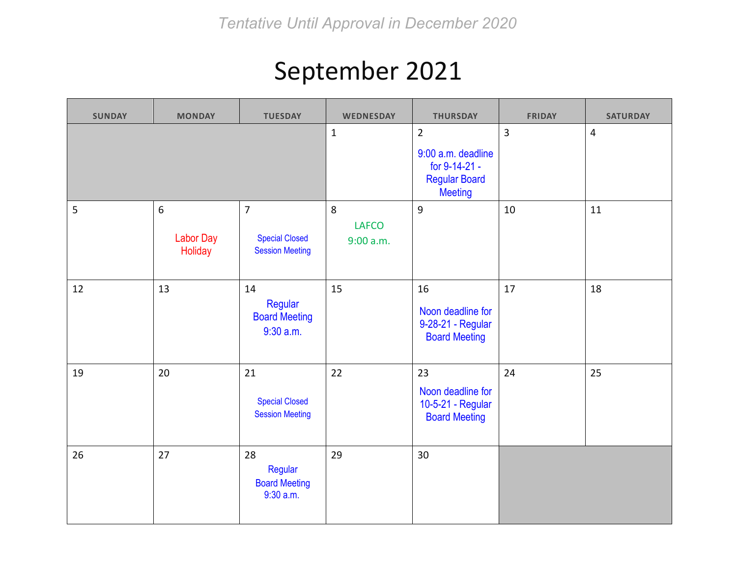# September 2021

| <b>SUNDAY</b> | <b>MONDAY</b>                    | <b>TUESDAY</b>                                                    | <b>WEDNESDAY</b>               | <b>THURSDAY</b>                                                                                 | <b>FRIDAY</b>  | <b>SATURDAY</b> |
|---------------|----------------------------------|-------------------------------------------------------------------|--------------------------------|-------------------------------------------------------------------------------------------------|----------------|-----------------|
|               |                                  |                                                                   | $\mathbf{1}$                   | $\overline{2}$<br>9:00 a.m. deadline<br>for 9-14-21 -<br><b>Regular Board</b><br><b>Meeting</b> | $\overline{3}$ | $\overline{4}$  |
| 5             | 6<br><b>Labor Day</b><br>Holiday | $\overline{7}$<br><b>Special Closed</b><br><b>Session Meeting</b> | 8<br><b>LAFCO</b><br>9:00 a.m. | $\overline{9}$                                                                                  | 10             | 11              |
| 12            | 13                               | 14<br>Regular<br><b>Board Meeting</b><br>$9:30$ a.m.              | 15                             | 16<br>Noon deadline for<br>9-28-21 - Regular<br><b>Board Meeting</b>                            | 17             | 18              |
| 19            | 20                               | 21<br><b>Special Closed</b><br><b>Session Meeting</b>             | 22                             | 23<br>Noon deadline for<br>10-5-21 - Regular<br><b>Board Meeting</b>                            | 24             | 25              |
| 26            | 27                               | 28<br>Regular<br><b>Board Meeting</b><br>9:30 a.m.                | 29                             | 30                                                                                              |                |                 |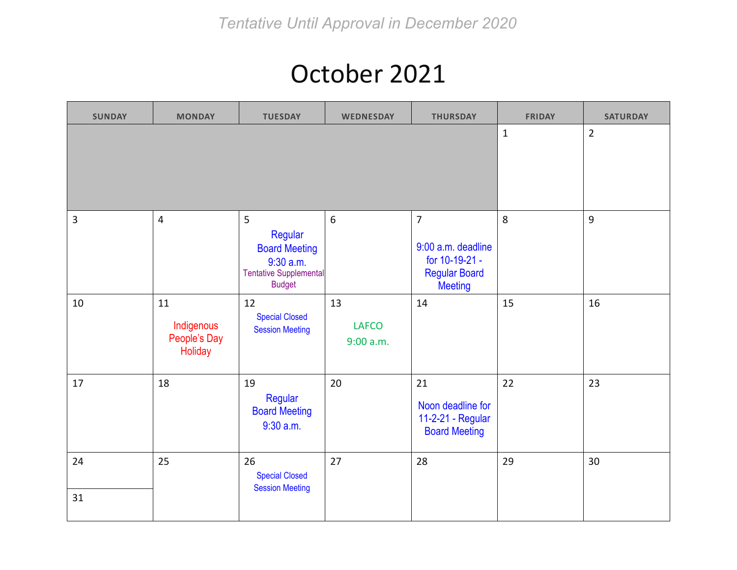#### October 2021

| <b>SUNDAY</b> | <b>MONDAY</b>                               | <b>TUESDAY</b>                                                                                        | <b>WEDNESDAY</b>                | <b>THURSDAY</b>                                                                                  | <b>FRIDAY</b> | <b>SATURDAY</b> |
|---------------|---------------------------------------------|-------------------------------------------------------------------------------------------------------|---------------------------------|--------------------------------------------------------------------------------------------------|---------------|-----------------|
|               |                                             |                                                                                                       |                                 |                                                                                                  | $\mathbf 1$   | $\overline{2}$  |
| 3             | $\overline{4}$                              | 5<br>Regular<br><b>Board Meeting</b><br>$9:30$ a.m.<br><b>Tentative Supplemental</b><br><b>Budget</b> | $6\,$                           | $\overline{7}$<br>9:00 a.m. deadline<br>for 10-19-21 -<br><b>Regular Board</b><br><b>Meeting</b> | 8             | 9               |
| 10            | 11<br>Indigenous<br>People's Day<br>Holiday | 12<br><b>Special Closed</b><br><b>Session Meeting</b>                                                 | 13<br><b>LAFCO</b><br>9:00 a.m. | 14                                                                                               | 15            | 16              |
| 17            | 18                                          | 19<br>Regular<br><b>Board Meeting</b><br>$9:30$ a.m.                                                  | 20                              | 21<br>Noon deadline for<br>11-2-21 - Regular<br><b>Board Meeting</b>                             | 22            | 23              |
| 24<br>31      | 25                                          | 26<br><b>Special Closed</b><br><b>Session Meeting</b>                                                 | 27                              | 28                                                                                               | 29            | 30              |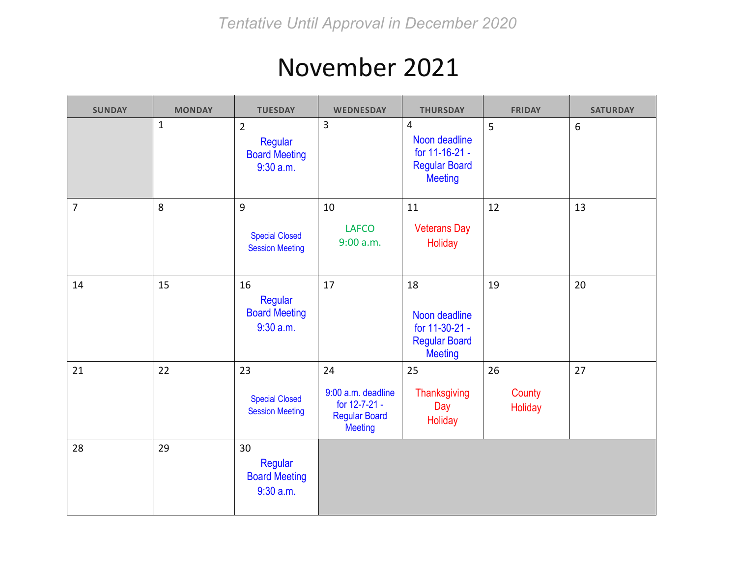## November 2021

| <b>SUNDAY</b> | <b>MONDAY</b> | <b>TUESDAY</b>                                                    | <b>WEDNESDAY</b>                                                                    | <b>THURSDAY</b>                                                                             | <b>FRIDAY</b>           | <b>SATURDAY</b> |
|---------------|---------------|-------------------------------------------------------------------|-------------------------------------------------------------------------------------|---------------------------------------------------------------------------------------------|-------------------------|-----------------|
|               | $1\,$         | $\overline{2}$<br>Regular<br><b>Board Meeting</b><br>$9:30$ a.m.  | $\overline{3}$                                                                      | $\overline{4}$<br>Noon deadline<br>for 11-16-21 -<br><b>Regular Board</b><br><b>Meeting</b> | 5                       | 6               |
| 7             | 8             | $\overline{9}$<br><b>Special Closed</b><br><b>Session Meeting</b> | 10<br><b>LAFCO</b><br>9:00 a.m.                                                     | 11<br><b>Veterans Day</b><br><b>Holiday</b>                                                 | 12                      | 13              |
| 14            | 15            | 16<br>Regular<br><b>Board Meeting</b><br>$9:30$ a.m.              | 17                                                                                  | 18<br>Noon deadline<br>for 11-30-21 -<br><b>Regular Board</b><br><b>Meeting</b>             | 19                      | 20              |
| 21            | 22            | 23<br><b>Special Closed</b><br><b>Session Meeting</b>             | 24<br>9:00 a.m. deadline<br>for 12-7-21 -<br><b>Regular Board</b><br><b>Meeting</b> | 25<br><b>Thanksgiving</b><br>Day<br>Holiday                                                 | 26<br>County<br>Holiday | 27              |
| 28            | 29            | 30<br>Regular<br><b>Board Meeting</b><br>$9:30$ a.m.              |                                                                                     |                                                                                             |                         |                 |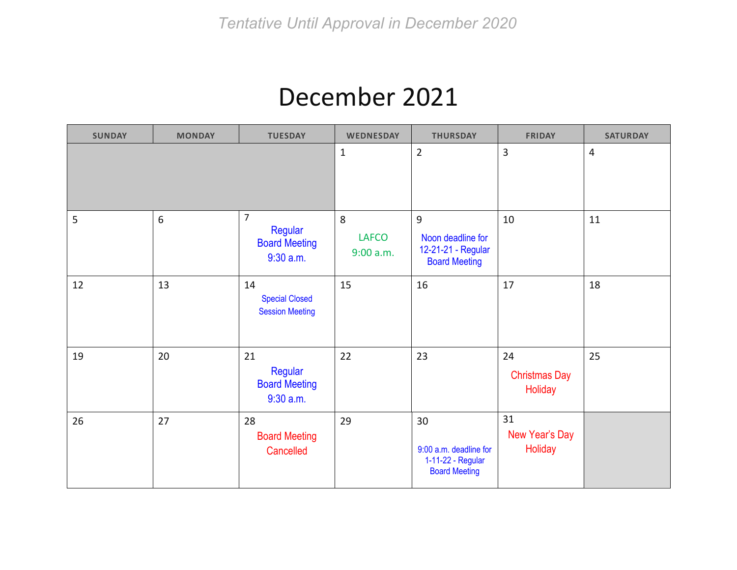#### December 2021

| <b>SUNDAY</b> | <b>MONDAY</b> | <b>TUESDAY</b>                                                   | <b>WEDNESDAY</b>               | <b>THURSDAY</b>                                                           | <b>FRIDAY</b>                                | <b>SATURDAY</b> |
|---------------|---------------|------------------------------------------------------------------|--------------------------------|---------------------------------------------------------------------------|----------------------------------------------|-----------------|
|               |               |                                                                  | $\mathbf{1}$                   | $\overline{2}$                                                            | 3                                            | 4               |
| 5             | $\sqrt{6}$    | $\overline{7}$<br>Regular<br><b>Board Meeting</b><br>$9:30$ a.m. | 8<br><b>LAFCO</b><br>9:00 a.m. | 9<br>Noon deadline for<br>12-21-21 - Regular<br><b>Board Meeting</b>      | 10                                           | 11              |
| 12            | 13            | 14<br><b>Special Closed</b><br><b>Session Meeting</b>            | 15                             | 16                                                                        | 17                                           | 18              |
| 19            | 20            | 21<br>Regular<br><b>Board Meeting</b><br>$9:30$ a.m.             | 22                             | 23                                                                        | 24<br><b>Christmas Day</b><br><b>Holiday</b> | 25              |
| 26            | 27            | 28<br><b>Board Meeting</b><br>Cancelled                          | 29                             | 30<br>9:00 a.m. deadline for<br>1-11-22 - Regular<br><b>Board Meeting</b> | 31<br>New Year's Day<br>Holiday              |                 |